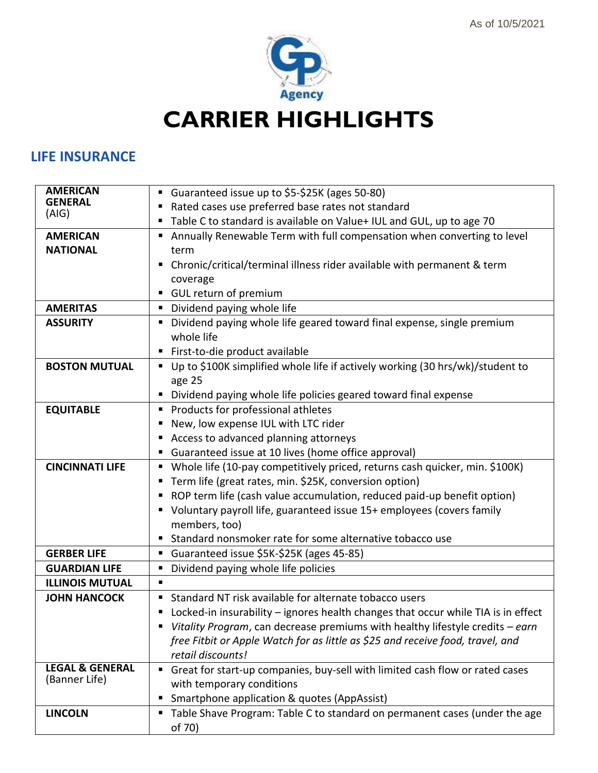

**CARRIER HIGHLIGHTS**

### **LIFE INSURANCE**

| <b>AMERICAN</b>                             | Guaranteed issue up to \$5-\$25K (ages 50-80)                                       |
|---------------------------------------------|-------------------------------------------------------------------------------------|
| <b>GENERAL</b>                              | Rated cases use preferred base rates not standard                                   |
| (AIG)                                       | " Table C to standard is available on Value+ IUL and GUL, up to age 70              |
| <b>AMERICAN</b>                             | Annually Renewable Term with full compensation when converting to level             |
| <b>NATIONAL</b>                             | term                                                                                |
|                                             | Chronic/critical/terminal illness rider available with permanent & term<br>п.       |
|                                             | coverage                                                                            |
|                                             | GUL return of premium                                                               |
| <b>AMERITAS</b>                             | • Dividend paying whole life                                                        |
| <b>ASSURITY</b>                             | Dividend paying whole life geared toward final expense, single premium              |
|                                             | whole life                                                                          |
|                                             | " First-to-die product available                                                    |
| <b>BOSTON MUTUAL</b>                        | ■ Up to \$100K simplified whole life if actively working (30 hrs/wk)/student to     |
|                                             | age 25                                                                              |
|                                             | • Dividend paying whole life policies geared toward final expense                   |
| <b>EQUITABLE</b>                            | Products for professional athletes                                                  |
|                                             | New, low expense IUL with LTC rider                                                 |
|                                             | Access to advanced planning attorneys                                               |
|                                             | • Guaranteed issue at 10 lives (home office approval)                               |
| <b>CINCINNATI LIFE</b>                      | • Whole life (10-pay competitively priced, returns cash quicker, min. \$100K)       |
|                                             | ■ Term life (great rates, min. \$25K, conversion option)                            |
|                                             | ■ ROP term life (cash value accumulation, reduced paid-up benefit option)           |
|                                             | • Voluntary payroll life, guaranteed issue 15+ employees (covers family             |
|                                             | members, too)                                                                       |
|                                             | <b>E</b> Standard nonsmoker rate for some alternative tobacco use                   |
| <b>GERBER LIFE</b>                          | Guaranteed issue \$5K-\$25K (ages 45-85)                                            |
| <b>GUARDIAN LIFE</b>                        | Dividend paying whole life policies                                                 |
| <b>ILLINOIS MUTUAL</b>                      | ٠                                                                                   |
| <b>JOHN HANCOCK</b>                         | Standard NT risk available for alternate tobacco users                              |
|                                             | ■ Locked-in insurability – ignores health changes that occur while TIA is in effect |
|                                             | Vitality Program, can decrease premiums with healthy lifestyle credits $-earn$      |
|                                             | free Fitbit or Apple Watch for as little as \$25 and receive food, travel, and      |
|                                             | retail discounts!                                                                   |
| <b>LEGAL &amp; GENERAL</b><br>(Banner Life) | Great for start-up companies, buy-sell with limited cash flow or rated cases        |
|                                             | with temporary conditions                                                           |
|                                             | Smartphone application & quotes (AppAssist)                                         |
| <b>LINCOLN</b>                              | Table Shave Program: Table C to standard on permanent cases (under the age          |
|                                             | of 70)                                                                              |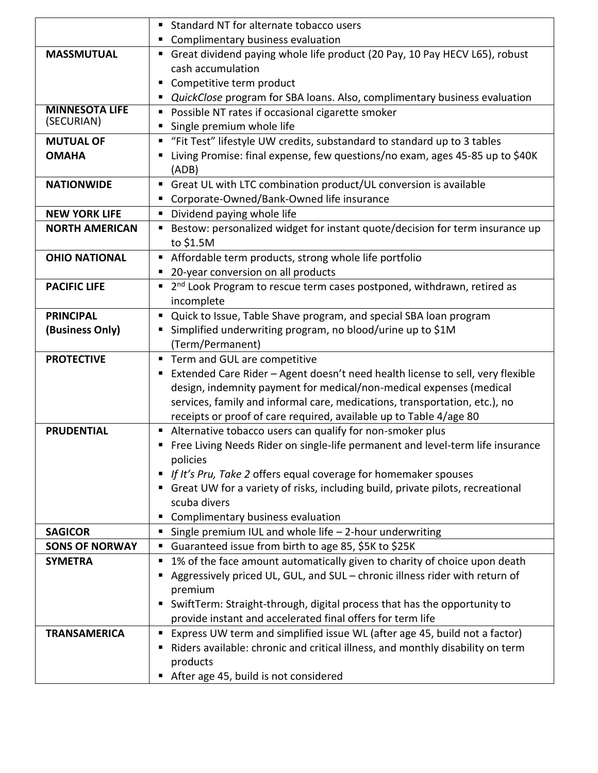| • Complimentary business evaluation<br>Great dividend paying whole life product (20 Pay, 10 Pay HECV L65), robust<br><b>MASSMUTUAL</b><br>cash accumulation<br>Competitive term product<br>QuickClose program for SBA loans. Also, complimentary business evaluation<br><b>MINNESOTA LIFE</b><br>" Possible NT rates if occasional cigarette smoker<br>(SECURIAN)<br>Single premium whole life<br><b>MUTUAL OF</b><br>" "Fit Test" lifestyle UW credits, substandard to standard up to 3 tables<br>Living Promise: final expense, few questions/no exam, ages 45-85 up to \$40K<br><b>OMAHA</b><br>(ADB)<br>Great UL with LTC combination product/UL conversion is available<br><b>NATIONWIDE</b> |
|---------------------------------------------------------------------------------------------------------------------------------------------------------------------------------------------------------------------------------------------------------------------------------------------------------------------------------------------------------------------------------------------------------------------------------------------------------------------------------------------------------------------------------------------------------------------------------------------------------------------------------------------------------------------------------------------------|
|                                                                                                                                                                                                                                                                                                                                                                                                                                                                                                                                                                                                                                                                                                   |
|                                                                                                                                                                                                                                                                                                                                                                                                                                                                                                                                                                                                                                                                                                   |
|                                                                                                                                                                                                                                                                                                                                                                                                                                                                                                                                                                                                                                                                                                   |
|                                                                                                                                                                                                                                                                                                                                                                                                                                                                                                                                                                                                                                                                                                   |
|                                                                                                                                                                                                                                                                                                                                                                                                                                                                                                                                                                                                                                                                                                   |
|                                                                                                                                                                                                                                                                                                                                                                                                                                                                                                                                                                                                                                                                                                   |
|                                                                                                                                                                                                                                                                                                                                                                                                                                                                                                                                                                                                                                                                                                   |
|                                                                                                                                                                                                                                                                                                                                                                                                                                                                                                                                                                                                                                                                                                   |
|                                                                                                                                                                                                                                                                                                                                                                                                                                                                                                                                                                                                                                                                                                   |
|                                                                                                                                                                                                                                                                                                                                                                                                                                                                                                                                                                                                                                                                                                   |
|                                                                                                                                                                                                                                                                                                                                                                                                                                                                                                                                                                                                                                                                                                   |
| ■ Corporate-Owned/Bank-Owned life insurance                                                                                                                                                                                                                                                                                                                                                                                                                                                                                                                                                                                                                                                       |
| Dividend paying whole life<br><b>NEW YORK LIFE</b>                                                                                                                                                                                                                                                                                                                                                                                                                                                                                                                                                                                                                                                |
| ■ Bestow: personalized widget for instant quote/decision for term insurance up<br><b>NORTH AMERICAN</b>                                                                                                                                                                                                                                                                                                                                                                                                                                                                                                                                                                                           |
| to \$1.5M                                                                                                                                                                                                                                                                                                                                                                                                                                                                                                                                                                                                                                                                                         |
| Affordable term products, strong whole life portfolio<br><b>OHIO NATIONAL</b>                                                                                                                                                                                                                                                                                                                                                                                                                                                                                                                                                                                                                     |
| • 20-year conversion on all products                                                                                                                                                                                                                                                                                                                                                                                                                                                                                                                                                                                                                                                              |
| ■ 2 <sup>nd</sup> Look Program to rescue term cases postponed, withdrawn, retired as<br><b>PACIFIC LIFE</b>                                                                                                                                                                                                                                                                                                                                                                                                                                                                                                                                                                                       |
| incomplete                                                                                                                                                                                                                                                                                                                                                                                                                                                                                                                                                                                                                                                                                        |
| <b>PRINCIPAL</b><br>Quick to Issue, Table Shave program, and special SBA loan program                                                                                                                                                                                                                                                                                                                                                                                                                                                                                                                                                                                                             |
| Simplified underwriting program, no blood/urine up to \$1M<br>(Business Only)                                                                                                                                                                                                                                                                                                                                                                                                                                                                                                                                                                                                                     |
| (Term/Permanent)                                                                                                                                                                                                                                                                                                                                                                                                                                                                                                                                                                                                                                                                                  |
| " Term and GUL are competitive<br><b>PROTECTIVE</b>                                                                                                                                                                                                                                                                                                                                                                                                                                                                                                                                                                                                                                               |
| Extended Care Rider - Agent doesn't need health license to sell, very flexible<br>ш                                                                                                                                                                                                                                                                                                                                                                                                                                                                                                                                                                                                               |
| design, indemnity payment for medical/non-medical expenses (medical                                                                                                                                                                                                                                                                                                                                                                                                                                                                                                                                                                                                                               |
| services, family and informal care, medications, transportation, etc.), no                                                                                                                                                                                                                                                                                                                                                                                                                                                                                                                                                                                                                        |
| receipts or proof of care required, available up to Table 4/age 80                                                                                                                                                                                                                                                                                                                                                                                                                                                                                                                                                                                                                                |
| Alternative tobacco users can qualify for non-smoker plus<br><b>PRUDENTIAL</b>                                                                                                                                                                                                                                                                                                                                                                                                                                                                                                                                                                                                                    |
| " Free Living Needs Rider on single-life permanent and level-term life insurance                                                                                                                                                                                                                                                                                                                                                                                                                                                                                                                                                                                                                  |
| policies                                                                                                                                                                                                                                                                                                                                                                                                                                                                                                                                                                                                                                                                                          |
| If It's Pru, Take 2 offers equal coverage for homemaker spouses                                                                                                                                                                                                                                                                                                                                                                                                                                                                                                                                                                                                                                   |
| Great UW for a variety of risks, including build, private pilots, recreational<br>scuba divers                                                                                                                                                                                                                                                                                                                                                                                                                                                                                                                                                                                                    |
| Complimentary business evaluation                                                                                                                                                                                                                                                                                                                                                                                                                                                                                                                                                                                                                                                                 |
| <b>SAGICOR</b><br>Single premium IUL and whole life $-$ 2-hour underwriting<br>п                                                                                                                                                                                                                                                                                                                                                                                                                                                                                                                                                                                                                  |
| <b>SONS OF NORWAY</b><br>Guaranteed issue from birth to age 85, \$5K to \$25K                                                                                                                                                                                                                                                                                                                                                                                                                                                                                                                                                                                                                     |
| 1% of the face amount automatically given to charity of choice upon death<br><b>SYMETRA</b><br>п                                                                                                                                                                                                                                                                                                                                                                                                                                                                                                                                                                                                  |
| Aggressively priced UL, GUL, and SUL - chronic illness rider with return of                                                                                                                                                                                                                                                                                                                                                                                                                                                                                                                                                                                                                       |
| premium                                                                                                                                                                                                                                                                                                                                                                                                                                                                                                                                                                                                                                                                                           |
| SwiftTerm: Straight-through, digital process that has the opportunity to                                                                                                                                                                                                                                                                                                                                                                                                                                                                                                                                                                                                                          |
| provide instant and accelerated final offers for term life                                                                                                                                                                                                                                                                                                                                                                                                                                                                                                                                                                                                                                        |
| <b>TRANSAMERICA</b><br>■ Express UW term and simplified issue WL (after age 45, build not a factor)                                                                                                                                                                                                                                                                                                                                                                                                                                                                                                                                                                                               |
| Riders available: chronic and critical illness, and monthly disability on term                                                                                                                                                                                                                                                                                                                                                                                                                                                                                                                                                                                                                    |
| products                                                                                                                                                                                                                                                                                                                                                                                                                                                                                                                                                                                                                                                                                          |
| After age 45, build is not considered                                                                                                                                                                                                                                                                                                                                                                                                                                                                                                                                                                                                                                                             |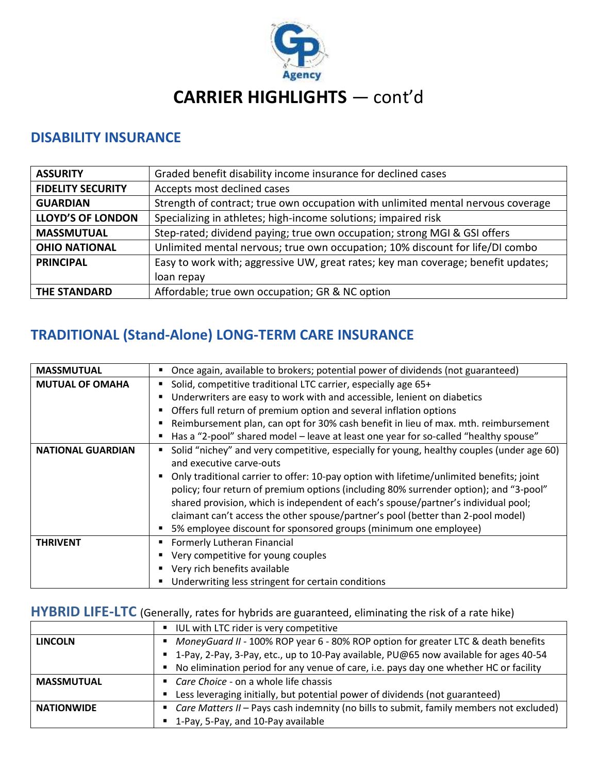

# **CARRIER HIGHLIGHTS** — cont'd

#### **DISABILITY INSURANCE**

| <b>ASSURITY</b>          | Graded benefit disability income insurance for declined cases                     |
|--------------------------|-----------------------------------------------------------------------------------|
| <b>FIDELITY SECURITY</b> | Accepts most declined cases                                                       |
| <b>GUARDIAN</b>          | Strength of contract; true own occupation with unlimited mental nervous coverage  |
| <b>LLOYD'S OF LONDON</b> | Specializing in athletes; high-income solutions; impaired risk                    |
| <b>MASSMUTUAL</b>        | Step-rated; dividend paying; true own occupation; strong MGI & GSI offers         |
| <b>OHIO NATIONAL</b>     | Unlimited mental nervous; true own occupation; 10% discount for life/DI combo     |
| <b>PRINCIPAL</b>         | Easy to work with; aggressive UW, great rates; key man coverage; benefit updates; |
|                          | loan repay                                                                        |
| <b>THE STANDARD</b>      | Affordable; true own occupation; GR & NC option                                   |

## **TRADITIONAL (Stand-Alone) LONG-TERM CARE INSURANCE**

| <b>MASSMUTUAL</b>        | Once again, available to brokers; potential power of dividends (not guaranteed)<br>٠                                                                                                                                                                                                                                                                                                                                            |
|--------------------------|---------------------------------------------------------------------------------------------------------------------------------------------------------------------------------------------------------------------------------------------------------------------------------------------------------------------------------------------------------------------------------------------------------------------------------|
| <b>MUTUAL OF OMAHA</b>   | Solid, competitive traditional LTC carrier, especially age 65+                                                                                                                                                                                                                                                                                                                                                                  |
|                          | Underwriters are easy to work with and accessible, lenient on diabetics                                                                                                                                                                                                                                                                                                                                                         |
|                          | Offers full return of premium option and several inflation options                                                                                                                                                                                                                                                                                                                                                              |
|                          | Reimbursement plan, can opt for 30% cash benefit in lieu of max. mth. reimbursement                                                                                                                                                                                                                                                                                                                                             |
|                          | Has a "2-pool" shared model - leave at least one year for so-called "healthy spouse"                                                                                                                                                                                                                                                                                                                                            |
| <b>NATIONAL GUARDIAN</b> | Solid "nichey" and very competitive, especially for young, healthy couples (under age 60)<br>and executive carve-outs                                                                                                                                                                                                                                                                                                           |
|                          | Only traditional carrier to offer: 10-pay option with lifetime/unlimited benefits; joint<br>policy; four return of premium options (including 80% surrender option); and "3-pool"<br>shared provision, which is independent of each's spouse/partner's individual pool;<br>claimant can't access the other spouse/partner's pool (better than 2-pool model)<br>5% employee discount for sponsored groups (minimum one employee) |
| <b>THRIVENT</b>          | Formerly Lutheran Financial                                                                                                                                                                                                                                                                                                                                                                                                     |
|                          | Very competitive for young couples                                                                                                                                                                                                                                                                                                                                                                                              |
|                          | • Very rich benefits available                                                                                                                                                                                                                                                                                                                                                                                                  |
|                          | Underwriting less stringent for certain conditions                                                                                                                                                                                                                                                                                                                                                                              |

#### **HYBRID LIFE-LTC** (Generally, rates for hybrids are guaranteed, eliminating the risk of a rate hike)

|                   | UL with LTC rider is very competitive                                                     |
|-------------------|-------------------------------------------------------------------------------------------|
| <b>LINCOLN</b>    | MoneyGuard II - 100% ROP year 6 - 80% ROP option for greater LTC & death benefits         |
|                   | ■ 1-Pay, 2-Pay, 3-Pay, etc., up to 10-Pay available, PU@65 now available for ages 40-54   |
|                   | No elimination period for any venue of care, i.e. pays day one whether HC or facility     |
| <b>MASSMUTUAL</b> | • Care Choice - on a whole life chassis                                                   |
|                   | Less leveraging initially, but potential power of dividends (not guaranteed)              |
| <b>NATIONWIDE</b> | " Care Matters II - Pays cash indemnity (no bills to submit, family members not excluded) |
|                   | ■ 1-Pay, 5-Pay, and 10-Pay available                                                      |